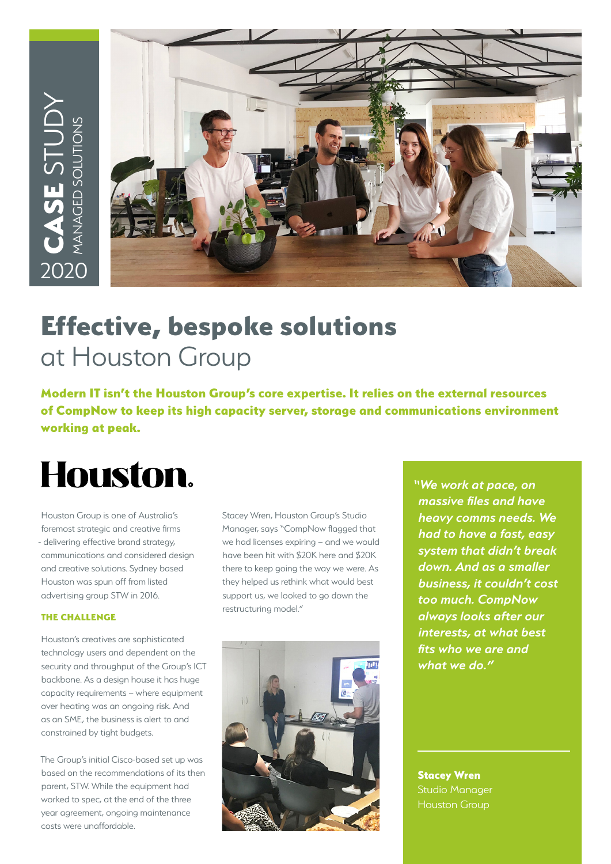

# Effective, bespoke solutions at Houston Group

Modern IT isn't the Houston Group's core expertise. It relies on the external resources of CompNow to keep its high capacity server, storage and communications environment working at peak.

# Houston.

Houston Group is one of Australia's foremost strategic and creative firms - delivering effective brand strategy, communications and considered design and creative solutions. Sydney based Houston was spun off from listed advertising group STW in 2016.

#### THE CHALLENGE

Houston's creatives are sophisticated technology users and dependent on the security and throughput of the Group's ICT backbone. As a design house it has huge capacity requirements – where equipment over heating was an ongoing risk. And as an SME, the business is alert to and constrained by tight budgets.

The Group's initial Cisco-based set up was based on the recommendations of its then parent, STW. While the equipment had worked to spec, at the end of the three year agreement, ongoing maintenance costs were unaffordable.

Stacey Wren, Houston Group's Studio Manager, says "CompNow flagged that we had licenses expiring – and we would have been hit with \$20K here and \$20K there to keep going the way we were. As they helped us rethink what would best support us, we looked to go down the restructuring model."



*"We work at pace, on massive files and have heavy comms needs. We had to have a fast, easy system that didn't break down. And as a smaller business, it couldn't cost too much. CompNow always looks after our interests, at what best fits who we are and what we do."*

Stacey Wren Studio Manager Houston Group